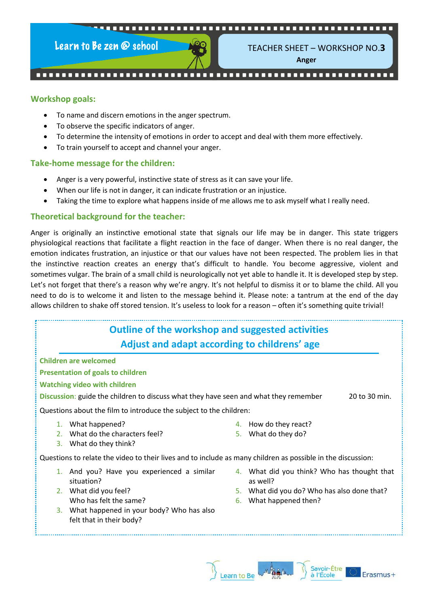

TEACHER SHEET – WORKSHOP NO.**3**

**Anger**

#### **Workshop goals:**

- To name and discern emotions in the anger spectrum.
- To observe the specific indicators of anger.
- To determine the intensity of emotions in order to accept and deal with them more effectively.
- To train yourself to accept and channel your anger.

#### **Take-home message for the children:**

- Anger is a very powerful, instinctive state of stress as it can save your life.
- When our life is not in danger, it can indicate frustration or an injustice.
- Taking the time to explore what happens inside of me allows me to ask myself what I really need.

#### **Theoretical background for the teacher:**

Anger is originally an instinctive emotional state that signals our life may be in danger. This state triggers physiological reactions that facilitate a flight reaction in the face of danger. When there is no real danger, the emotion indicates frustration, an injustice or that our values have not been respected. The problem lies in that the instinctive reaction creates an energy that's difficult to handle. You become aggressive, violent and sometimes vulgar. The brain of a small child is neurologically not yet able to handle it. It is developed step by step. Let's not forget that there's a reason why we're angry. It's not helpful to dismiss it or to blame the child. All you need to do is to welcome it and listen to the message behind it. Please note: a tantrum at the end of the day allows children to shake off stored tension. It's useless to look for a reason – often it's something quite trivial!

|    | <b>Outline of the workshop and suggested activities</b><br>Adjust and adapt according to childrens' age     |      |                                             |               |
|----|-------------------------------------------------------------------------------------------------------------|------|---------------------------------------------|---------------|
|    | <b>Children are welcomed</b>                                                                                |      |                                             |               |
|    | <b>Presentation of goals to children</b>                                                                    |      |                                             |               |
|    | <b>Watching video with children</b>                                                                         |      |                                             |               |
|    | Discussion: guide the children to discuss what they have seen and what they remember                        |      |                                             | 20 to 30 min. |
|    | Questions about the film to introduce the subject to the children:                                          |      |                                             |               |
|    | 1. What happened?                                                                                           |      | 4. How do they react?                       |               |
|    | 2. What do the characters feel?                                                                             | 5.   | What do they do?                            |               |
| 3. | What do they think?                                                                                         |      |                                             |               |
|    | Questions to relate the video to their lives and to include as many children as possible in the discussion: |      |                                             |               |
|    | 1. And you? Have you experienced a similar                                                                  |      | 4. What did you think? Who has thought that |               |
|    | situation?                                                                                                  |      | as well?                                    |               |
|    | 2. What did you feel?                                                                                       | 5. . | What did you do? Who has also done that?    |               |
|    | Who has felt the same?                                                                                      | 6.   | What happened then?                         |               |
|    | 3. What happened in your body? Who has also                                                                 |      |                                             |               |
|    | felt that in their body?                                                                                    |      |                                             |               |
|    |                                                                                                             |      |                                             |               |